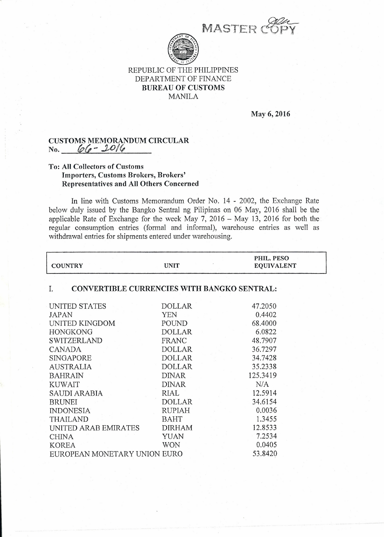<sup>I</sup>M*.1-"* I\ *";* . *;,*s·T*.* ·E~*\_* "*~* '!f r'\ .::1l r'\  $\mathscr{E}_1$  $\sqrt{\text{py}}$ 



## REPUBLIC OF THE PHILIPPINES DEPARTMENT OF FINANCE BUREAU OF CUSTOMS MANILA

May 6, 2016

## CUSTOMS MEMORANDUM CIRCULAR No. *(p(, - ..!UJ/~*

## To: All Collectors of Customs Importers, Customs Brokers, Brokers' Representatives and All Others Concerned

In line with Customs Memorandum Order No. 14 - 2002, the Exchange Rate below duly issued by the Bangko Sentral ng Pilipinas on 06 May, 2016 shall be the applicable Rate of Exchange for the week May  $7, 2016$  – May 13, 2016 for both the regular consumption entries (formal and informal), warehouse entries as well as withdrawal entries for shipments entered under warehousing.

| <b>COUNTRY</b>                                           | <b>UNIT</b>   | PHIL. PESO<br><b>EQUIVALENT</b> |  |
|----------------------------------------------------------|---------------|---------------------------------|--|
| <b>CONVERTIBLE CURRENCIES WITH BANGKO SENTRAL:</b><br>I. |               |                                 |  |
|                                                          |               |                                 |  |
| UNITED STATES                                            | <b>DOLLAR</b> | 47.2050                         |  |
| <b>JAPAN</b>                                             | <b>YEN</b>    | 0.4402                          |  |
| UNITED KINGDOM                                           | POUND         | 68.4000                         |  |
| <b>HONGKONG</b>                                          | <b>DOLLAR</b> | 6.0822                          |  |
| <b>SWITZERLAND</b>                                       | FRANC         | 48.7907                         |  |
| <b>CANADA</b>                                            | <b>DOLLAR</b> | 36.7297                         |  |
| <b>SINGAPORE</b>                                         | <b>DOLLAR</b> | 34.7428                         |  |
| <b>AUSTRALIA</b>                                         | <b>DOLLAR</b> | 35.2338                         |  |
| <b>BAHRAIN</b>                                           | <b>DINAR</b>  | 125.3419                        |  |
| <b>KUWAIT</b>                                            | <b>DINAR</b>  | N/A                             |  |
| SAUDI ARABIA                                             | <b>RIAL</b>   | 12.5914                         |  |
| <b>BRUNEI</b>                                            | <b>DOLLAR</b> | 34.6154                         |  |
| <b>INDONESIA</b>                                         | <b>RUPIAH</b> | 0.0036                          |  |
| <b>THAILAND</b>                                          | <b>BAHT</b>   | 1.3455                          |  |
| UNITED ARAB EMIRATES                                     | <b>DIRHAM</b> | 12.8533                         |  |
| <b>CHINA</b>                                             | <b>YUAN</b>   | 7.2534                          |  |
| <b>KOREA</b>                                             | <b>WON</b>    | 0.0405                          |  |
| EUROPEAN MONETARY UNION EURO                             |               | 53.8420                         |  |